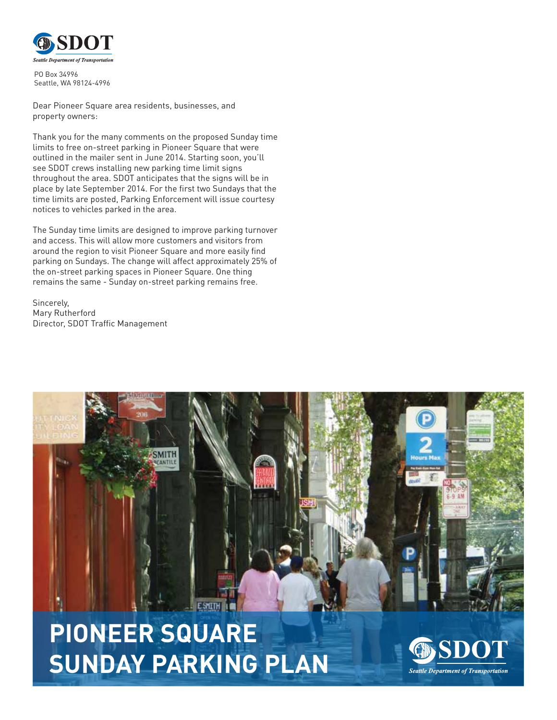

PO Box 34996 Seattle, WA 98124-4996

Dear Pioneer Square area residents, businesses, and property owners:

Thank you for the many comments on the proposed Sunday time limits to free on-street parking in Pioneer Square that were outlined in the mailer sent in June 2014. Starting soon, you'll see SDOT crews installing new parking time limit signs throughout the area. SDOT anticipates that the signs will be in place by late September 2014. For the first two Sundays that the time limits are posted, Parking Enforcement will issue courtesy notices to vehicles parked in the area.

The Sunday time limits are designed to improve parking turnover and access. This will allow more customers and visitors from around the region to visit Pioneer Square and more easily find parking on Sundays. The change will affect approximately 25% of the on-street parking spaces in Pioneer Square. One thing remains the same - Sunday on-street parking remains free.

Sincerely, Mary Rutherford Director, SDOT Traffic Management



**PIONEER SQUARE SUNDAY PARKING PLAN**